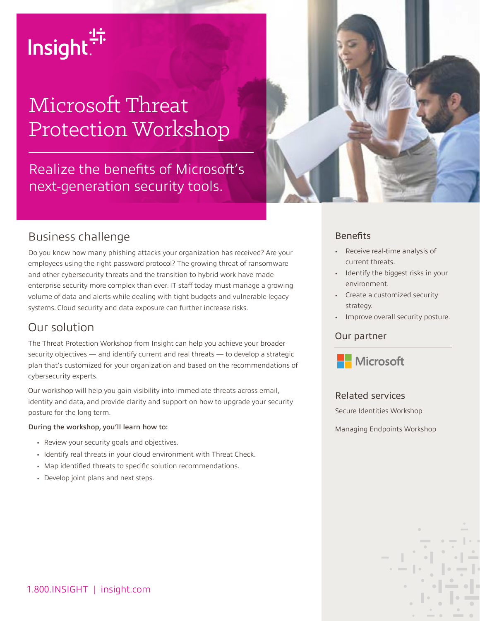

# Microsoft Threat Protection Workshop

Realize the benefits of Microsoft's next-generation security tools.



### Business challenge

Do you know how many phishing attacks your organization has received? Are your employees using the right password protocol? The growing threat of ransomware and other cybersecurity threats and the transition to hybrid work have made enterprise security more complex than ever. IT staff today must manage a growing volume of data and alerts while dealing with tight budgets and vulnerable legacy systems. Cloud security and data exposure can further increase risks.

### Our solution

The Threat Protection Workshop from Insight can help you achieve your broader security objectives — and identify current and real threats — to develop a strategic plan that's customized for your organization and based on the recommendations of cybersecurity experts.

Our workshop will help you gain visibility into immediate threats across email, identity and data, and provide clarity and support on how to upgrade your security posture for the long term.

#### During the workshop, you'll learn how to:

- Review your security goals and objectives.
- Identify real threats in your cloud environment with Threat Check.
- Map identified threats to specific solution recommendations.
- Develop joint plans and next steps.

#### **Benefits**

- Receive real-time analysis of current threats.
- Identify the biggest risks in your environment.
- Create a customized security strategy.
- Improve overall security posture.

#### Our partner



#### Related services

Secure Identities Workshop

Managing Endpoints Workshop